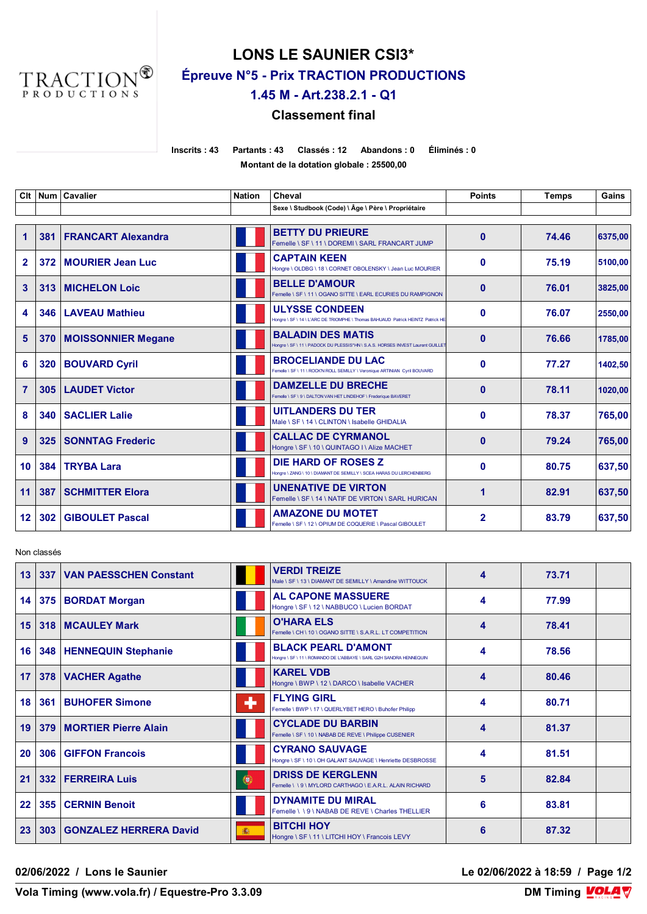

# **LONS LE SAUNIER CSI3\* Épreuve N°5 - Prix TRACTION PRODUCTIONS**

## **1.45 M - Art.238.2.1 - Q1**

### **Classement final**

**Inscrits : 43 Partants : 43 Classés : 12 Abandons : 0 Éliminés : 0 Montant de la dotation globale : 25500,00**

| Clt            | <b>Num</b> | <b>Cavalier</b>           | <b>Nation</b> | Cheval                                                                                                     | <b>Points</b>  | <b>Temps</b> | Gains   |
|----------------|------------|---------------------------|---------------|------------------------------------------------------------------------------------------------------------|----------------|--------------|---------|
|                |            |                           |               | Sexe \ Studbook (Code) \ Âge \ Père \ Propriétaire                                                         |                |              |         |
| 1              | 381        | <b>FRANCART Alexandra</b> |               | <b>BETTY DU PRIEURE</b><br>Femelle \ SF \ 11 \ DOREMI \ SARL FRANCART JUMP                                 | $\mathbf{0}$   | 74.46        | 6375,00 |
| $\overline{2}$ | 372        | <b>MOURIER Jean Luc</b>   |               | <b>CAPTAIN KEEN</b><br>Hongre \ OLDBG \ 18 \ CORNET OBOLENSKY \ Jean Luc MOURIER                           | $\bf{0}$       | 75.19        | 5100,00 |
| 3              | 313        | <b>MICHELON Loic</b>      |               | <b>BELLE D'AMOUR</b><br>Femelle \ SF \ 11 \ OGANO SITTE \ EARL ECURIES DU RAMPIGNON                        | $\mathbf{0}$   | 76.01        | 3825,00 |
| 4              | 346        | <b>LAVEAU Mathieu</b>     |               | <b>ULYSSE CONDEEN</b><br>Hongre \ SF \ 14 \ L'ARC DE TRIOMPHE \ Thomas BAHUAUD Patrick HEINTZ Patrick HE   | $\mathbf{0}$   | 76.07        | 2550,00 |
| 5              | 370        | <b>MOISSONNIER Megane</b> |               | <b>BALADIN DES MATIS</b><br>Hongre \ SF \ 11 \ PADOCK DU PLESSIS*HN \ S.A.S. HORSES INVEST Laurent GUILLET | $\mathbf{0}$   | 76.66        | 1785.00 |
| 6              | 320        | <b>BOUVARD Cyril</b>      |               | <b>BROCELIANDE DU LAC</b><br>Femelle \ SF \ 11 \ ROCK'N ROLL SEMILLY \ Veronique ARTINIAN Cyril BOUVARD    | $\bf{0}$       | 77.27        | 1402,50 |
| $\overline{7}$ | 305        | <b>LAUDET Victor</b>      |               | <b>DAMZELLE DU BRECHE</b><br>Femelle \ SF \ 9 \ DALTON VAN HET LINDEHOF \ Frederique BAVERET               | $\bf{0}$       | 78.11        | 1020,00 |
| 8              | 340        | <b>SACLIER Lalie</b>      |               | <b>UITLANDERS DU TER</b><br>Male \ SF \ 14 \ CLINTON \ Isabelle GHIDALIA                                   | $\mathbf{0}$   | 78.37        | 765,00  |
| 9              | 325        | <b>SONNTAG Frederic</b>   |               | <b>CALLAC DE CYRMANOL</b><br>Hongre \ SF \ 10 \ QUINTAGO I \ Alize MACHET                                  | $\mathbf{0}$   | 79.24        | 765,00  |
| 10             | 384        | <b>TRYBA Lara</b>         |               | DIE HARD OF ROSES Z<br>Hongre \ ZANG \ 10 \ DIAMANT DE SEMILLY \ SCEA HARAS DU LERCHENBERG                 | $\mathbf{0}$   | 80.75        | 637,50  |
| 11             | 387        | <b>SCHMITTER Elora</b>    |               | <b>UNENATIVE DE VIRTON</b><br>Femelle \ SF \ 14 \ NATIF DE VIRTON \ SARL HURICAN                           | 1              | 82.91        | 637,50  |
| 12             | 302        | <b>GIBOULET Pascal</b>    |               | <b>AMAZONE DU MOTET</b><br>Femelle \ SF \ 12 \ OPIUM DE COQUERIE \ Pascal GIBOULET                         | $\overline{2}$ | 83.79        | 637.50  |

Non classés

| 13 | 337 | <b>VAN PAESSCHEN Constant</b> |   | <b>VERDI TREIZE</b><br>Male \ SF \ 13 \ DIAMANT DE SEMILLY \ Amandine WITTOUCK                   | 4 | 73.71 |  |
|----|-----|-------------------------------|---|--------------------------------------------------------------------------------------------------|---|-------|--|
| 14 |     | 375   BORDAT Morgan           |   | <b>AL CAPONE MASSUERE</b><br>Hongre \ SF \ 12 \ NABBUCO \ Lucien BORDAT                          | 4 | 77.99 |  |
| 15 | 318 | <b>MCAULEY Mark</b>           |   | <b>O'HARA ELS</b><br>Femelle \ CH \ 10 \ OGANO SITTE \ S.A.R.L. LT COMPETITION                   | 4 | 78.41 |  |
| 16 |     | 348   HENNEQUIN Stephanie     |   | <b>BLACK PEARL D'AMONT</b><br>Hongre \ SF \ 11 \ ROMANDO DE L'ABBAYE \ SARL G2H SANDRA HENNEQUIN | 4 | 78.56 |  |
| 17 |     | 378   VACHER Agathe           |   | <b>KAREL VDB</b><br>Hongre \ BWP \ 12 \ DARCO \ Isabelle VACHER                                  | 4 | 80.46 |  |
| 18 | 361 | <b>BUHOFER Simone</b>         | ۰ | <b>FLYING GIRL</b><br>Femelle \ BWP \ 17 \ QUERLYBET HERO \ Buhofer Philipp                      | 4 | 80.71 |  |
| 19 | 379 | <b>MORTIER Pierre Alain</b>   |   | <b>CYCLADE DU BARBIN</b><br>Femelle \ SF \ 10 \ NABAB DE REVE \ Philippe CUSENIER                | 4 | 81.37 |  |
| 20 | 306 | <b>GIFFON Francois</b>        |   | <b>CYRANO SAUVAGE</b><br>Hongre \ SF \ 10 \ OH GALANT SAUVAGE \ Henriette DESBROSSE              | 4 | 81.51 |  |
| 21 | 332 | <b>FERREIRA Luis</b>          | 0 | <b>DRISS DE KERGLENN</b><br>Femelle \\9\MYLORD CARTHAGO \EARL ALAIN RICHARD                      | 5 | 82.84 |  |
| 22 | 355 | <b>CERNIN Benoit</b>          |   | <b>DYNAMITE DU MIRAL</b><br>Femelle \\9\NABAB DE REVE \Charles THELLIER                          | 6 | 83.81 |  |
| 23 | 303 | <b>GONZALEZ HERRERA David</b> | 癫 | <b>BITCHI HOY</b><br>Hongre \ SF \ 11 \ LITCHI HOY \ Francois LEVY                               | 6 | 87.32 |  |

**02/06/2022 / Lons le Saunier Le 02/06/2022 à 18:59 / Page 1/2**

**Vola Timing (www.vola.fr) / Equestre-Pro 3.3.09** 

**DM Timing VOLAY**